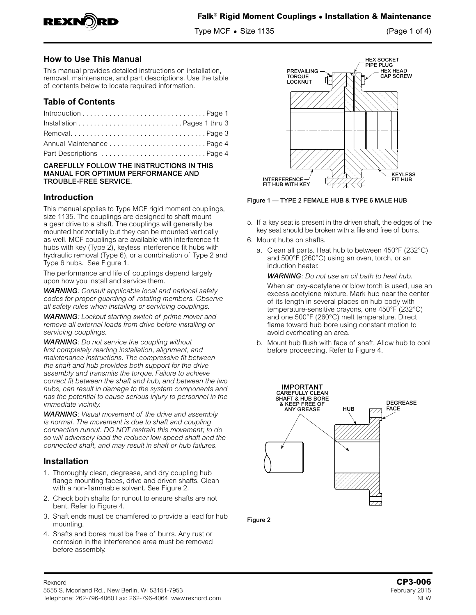

Type MCF **•** Size 1135 (Page 1 of 4)

## **How to Use This Manual**

This manual provides detailed instructions on installation, removal, maintenance, and part descriptions. Use the table of contents below to locate required information.

## **Table of Contents**

| RemovalPage 3             |  |
|---------------------------|--|
|                           |  |
| Part Descriptions  Page 4 |  |

#### CAREFULLY FOLLOW THE INSTRUCTIONS IN THIS MANUAL FOR OPTIMUM PERFORMANCE AND TROUBLE-FREE SERVICE.

## **Introduction**

This manual applies to Type MCF rigid moment couplings, size 1135. The couplings are designed to shaft mount a gear drive to a shaft. The couplings will generally be mounted horizontally but they can be mounted vertically as well. MCF couplings are available with interference fit hubs with key (Type 2), keyless interference fit hubs with hydraulic removal (Type 6), or a combination of Type 2 and Type 6 hubs. See Figure 1.

The performance and life of couplings depend largely upon how you install and service them.

*WARNING: Consult applicable local and national safety codes for proper guarding of rotating members. Observe all safety rules when installing or servicing couplings.*

*WARNING: Lockout starting switch of prime mover and remove all external loads from drive before installing or servicing couplings.* 

*WARNING: Do not service the coupling without first completely reading installation, alignment, and maintenance instructions. The compressive fit between the shaft and hub provides both support for the drive assembly and transmits the torque. Failure to achieve correct fit between the shaft and hub, and between the two hubs, can result in damage to the system components and has the potential to cause serious injury to personnel in the immediate vicinity.*

*WARNING: Visual movement of the drive and assembly is normal. The movement is due to shaft and coupling connection runout. DO NOT restrain this movement; to do so will adversely load the reducer low-speed shaft and the connected shaft, and may result in shaft or hub failures.*

## **Installation**

- 1. Thoroughly clean, degrease, and dry coupling hub flange mounting faces, drive and driven shafts. Clean with a non-flammable solvent. See Figure 2.
- 2. Check both shafts for runout to ensure shafts are not bent. Refer to Figure 4.
- 3. Shaft ends must be chamfered to provide a lead for hub mounting.
- 4. Shafts and bores must be free of burrs. Any rust or corrosion in the interference area must be removed before assembly.



Figure 1 — TYPE 2 FEMALE HUB & TYPE 6 MALE HUB

- 5. If a key seat is present in the driven shaft, the edges of the key seat should be broken with a file and free of burrs.
- 6. Mount hubs on shafts.
	- a. Clean all parts. Heat hub to between 450°F (232°C) and 500°F (260°C) using an oven, torch, or an induction heater.

*WARNING: Do not use an oil bath to heat hub.*

When an oxy-acetylene or blow torch is used, use an excess acetylene mixture. Mark hub near the center of its length in several places on hub body with temperature-sensitive crayons, one 450°F (232°C) and one 500°F (260°C) melt temperature. Direct flame toward hub bore using constant motion to avoid overheating an area.

b. Mount hub flush with face of shaft. Allow hub to cool before proceeding. Refer to Figure 4.



Figure 2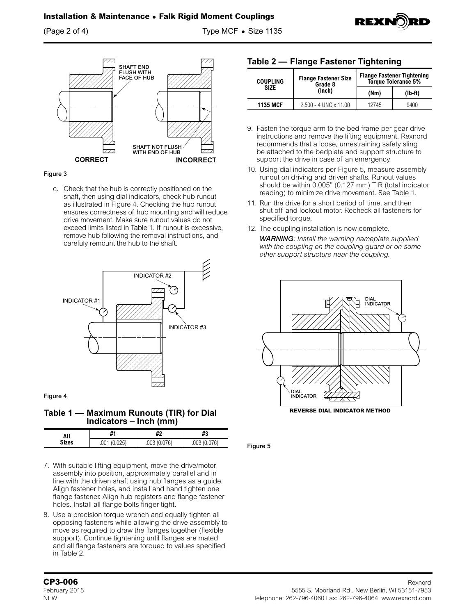(Page 2 of 4) Type MCF **•** Size 1135



#### Figure 3

c. Check that the hub is correctly positioned on the shaft, then using dial indicators, check hub runout as illustrated in Figure 4. Checking the hub runout ensures correctness of hub mounting and will reduce drive movement. Make sure runout values do not exceed limits listed in Table 1. If runout is excessive, remove hub following the removal instructions, and carefuly remount the hub to the shaft.



Figure 4

**Table 1 — Maximum Runouts (TIR) for Dial Indicators – Inch (mm)**

| All          | #1         | #2   | un<br>πs |
|--------------|------------|------|----------|
| <b>Sizes</b> | 125<br>.UU | .UU3 | 0.076    |

- 7. With suitable lifting equipment, move the drive/motor assembly into position, approximately parallel and in line with the driven shaft using hub flanges as a guide. Align fastener holes, and install and hand tighten one flange fastener. Align hub registers and flange fastener holes. Install all flange bolts finger tight.
- 8. Use a precision torque wrench and equally tighten all opposing fasteners while allowing the drive assembly to move as required to draw the flanges together (flexible support). Continue tightening until flanges are mated and all flange fasteners are torqued to values specified in Table 2.

### **Table 2 — Flange Fastener Tightening**

| <b>COUPLING</b>       | <b>Flange Fastener Size</b><br>Grade 8 | <b>Flange Fastener Tightening</b><br><b>Torque Tolerance 5%</b> |      |
|-----------------------|----------------------------------------|-----------------------------------------------------------------|------|
| <b>SIZE</b><br>(Inch) | (Mm)                                   | $(Ib-ft)$                                                       |      |
| <b>1135 MCF</b>       | $2.500 - 4$ UNC $\times$ 11.00         | 12745                                                           | 9400 |

- 9. Fasten the torque arm to the bed frame per gear drive instructions and remove the lifting equipment. Rexnord recommends that a loose, unrestraining safety sling be attached to the bedplate and support structure to support the drive in case of an emergency.
- 10. Using dial indicators per Figure 5, measure assembly runout on driving and driven shafts. Runout values should be within 0.005" (0.127 mm) TIR (total indicator reading) to minimize drive movement. See Table 1.
- 11. Run the drive for a short period of time, and then shut off and lockout motor. Recheck all fasteners for specified torque.
- 12. The coupling installation is now complete. *WARNING: Install the warning nameplate supplied with the coupling on the coupling guard or on some other support structure near the coupling.*



Figure 5

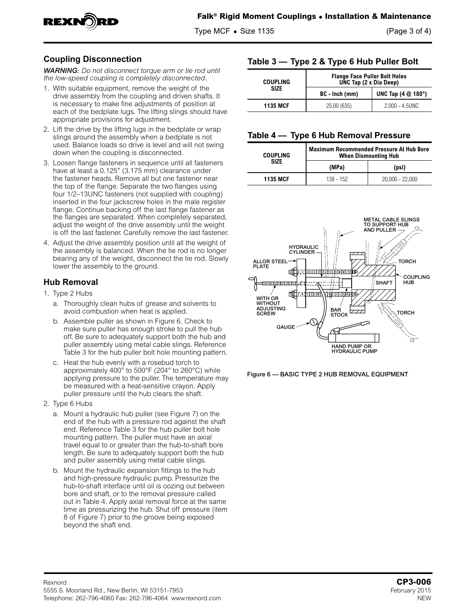

Type MCF **•** Size 1135 (Page 3 of 4)

# **Coupling Disconnection**

*WARNING: Do not disconnect torque arm or tie rod until the low-speed coupling is completely disconnected.*

- 1. With suitable equipment, remove the weight of the drive assembly from the coupling and driven shafts. It is necessary to make fine adjustments of position at each of the bedplate lugs. The lifting slings should have appropriate provisions for adjustment.
- 2. Lift the drive by the lifting lugs in the bedplate or wrap slings around the assembly when a bedplate is not used. Balance loads so drive is level and will not swing down when the coupling is disconnected.
- 3. Loosen flange fasteners in sequence until all fasteners have at least a 0.125" (3.175 mm) clearance under the fastener heads. Remove all but one fastener near the top of the flange. Separate the two flanges using four 1/2–13UNC fasteners (not supplied with coupling) inserted in the four jackscrew holes in the male register flange. Continue backing off the last flange fastener as the flanges are separated. When completely separated, adjust the weight of the drive assembly until the weight is off the last fastener. Carefully remove the last fastener.
- 4. Adjust the drive assembly position until all the weight of the assembly is balanced. When the tie rod is no longer bearing any of the weight, disconnect the tie rod. Slowly lower the assembly to the ground.

## **Hub Removal**

- 1. Type 2 Hubs
	- a. Thoroughly clean hubs of grease and solvents to avoid combustion when heat is applied.
	- b. Assemble puller as shown in Figure 6. Check to make sure puller has enough stroke to pull the hub off. Be sure to adequately support both the hub and puller assembly using metal cable slings. Reference Table 3 for the hub puller bolt hole mounting pattern.
	- c. Heat the hub evenly with a rosebud torch to approximately 400° to 500°F (204° to 260°C) while applying pressure to the puller. The temperature may be measured with a heat-sensitive crayon. Apply puller pressure until the hub clears the shaft.
- 2. Type 6 Hubs
	- a. Mount a hydraulic hub puller (see Figure 7) on the end of the hub with a pressure rod against the shaft end. Reference Table 3 for the hub puller bolt hole mounting pattern. The puller must have an axial travel equal to or greater than the hub-to-shaft bore length. Be sure to adequately support both the hub and puller assembly using metal cable slings.
	- b. Mount the hydraulic expansion fittings to the hub and high-pressure hydraulic pump. Pressurize the hub-to-shaft interface until oil is oozing out between bore and shaft, or to the removal pressure called out in Table 4. Apply axial removal force at the same time as pressurizing the hub. Shut off pressure (item 8 of Figure 7) prior to the groove being exposed beyond the shaft end.

## **Table 3 — Type 2 & Type 6 Hub Puller Bolt**

| <b>COUPLING</b> | <b>Flange Face Puller Bolt Holes</b><br>UNC Tap (2 x Dia Deep) |                                      |
|-----------------|----------------------------------------------------------------|--------------------------------------|
| <b>SIZE</b>     | BC - Inch (mm)                                                 | UNC Tap $(4 \text{ } @ 180^{\circ})$ |
| <b>1135 MCF</b> | 25.00 (635)                                                    | $2.000 - 4.5$ UNC                    |

### **Table 4 — Type 6 Hub Removal Pressure**

| <b>COUPLING</b> | <b>Maximum Recommended Pressure At Hub Bore</b><br><b>When Dismounting Hub</b> |                   |
|-----------------|--------------------------------------------------------------------------------|-------------------|
| SIZF            | (MPa)                                                                          | (psi)             |
| <b>1135 MCF</b> | 138 - 152                                                                      | $20.000 - 22.000$ |



Figure 6 — BASIC TYPE 2 HUB REMOVAL EQUIPMENT